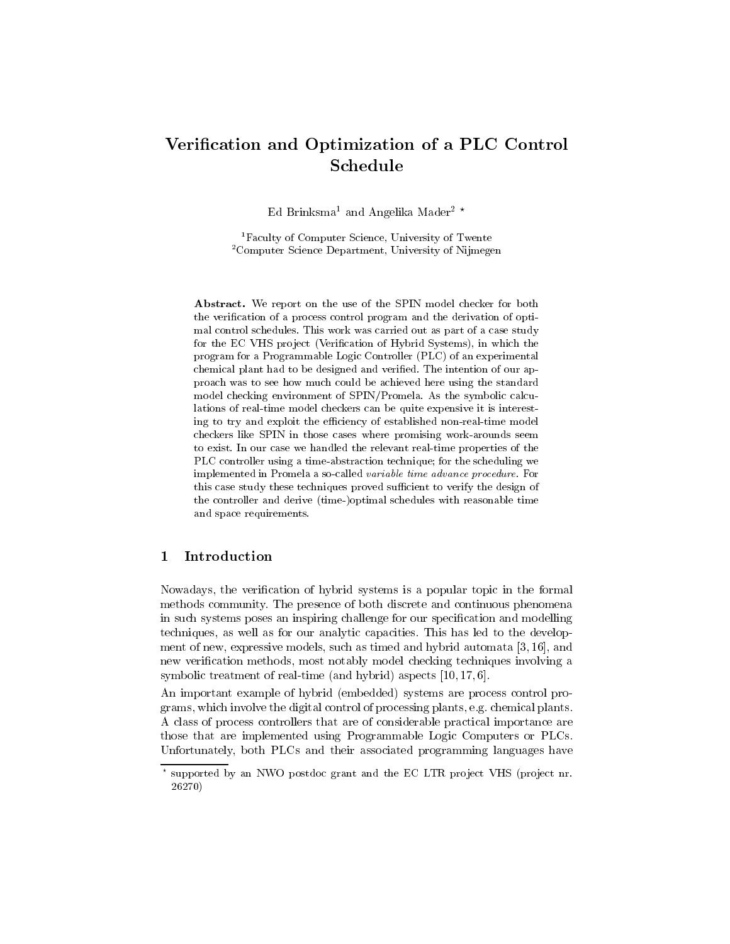# Verification and Optimization of a PLC Control Schedule

Ed Brinksma<sup>1</sup> and Angelika Mader<sup>2</sup>  $\star$ 

1Faculty of Computer Science, University of Twente 2Computer Science Department, University of Nijmegen

Abstract. We report on the use of the SPIN model checker for both the verication of a process control program and the derivation of optimal control schedules. This work was carried out as part of a case study for the EC VHS project (Verification of Hybrid Systems), in which the program for a Programmable Logic Controller (PLC) of an experimental chemical plant had to be designed and verified. The intention of our approach was to see how much could be achieved here using the standard model checking environment of SPIN/Promela. As the symbolic calculations of real-time model checkers can be quite expensive it is interesting to try and exploit the efficiency of established non-real-time model checkers like SPIN in those cases where promising work-arounds seem to exist. In our case we handled the relevant real-time properties of the PLC controller using a time-abstraction technique; for the scheduling we implemented in Promela a so-called variable time advance procedure . For this case study these techniques proved sufficient to verify the design of the controller and derive (time-)optimal schedules with reasonable time and space requirements.

# <sup>1</sup> Introduction

Nowadays, the verication of hybrid systems is a popular topic in the formal methods community. The presence of both discrete and continuous phenomena in such systems poses an inspiring challenge for our specication and modelling techniques, as well as for our analytic capacities. This has led to the development of new, expressive models, such as timed and hybrid automata [3, 16], and new verification methods, most notably model checking techniques involving a symbolic treatment of real-time (and hybrid) aspects [10, 17, 6].

An important example of hybrid (embedded) systems are process control programs, which involve the digital control of processing plants, e.g. chemical plants. A class of process controllers that are of considerable practical importance are those that are implemented using Programmable Logic Computers or PLCs. Unfortunately, both PLCs and their associated programming languages have

<sup>?</sup> supported by an NWO postdoc grant and the EC LTR pro ject VHS (pro ject nr. 26270)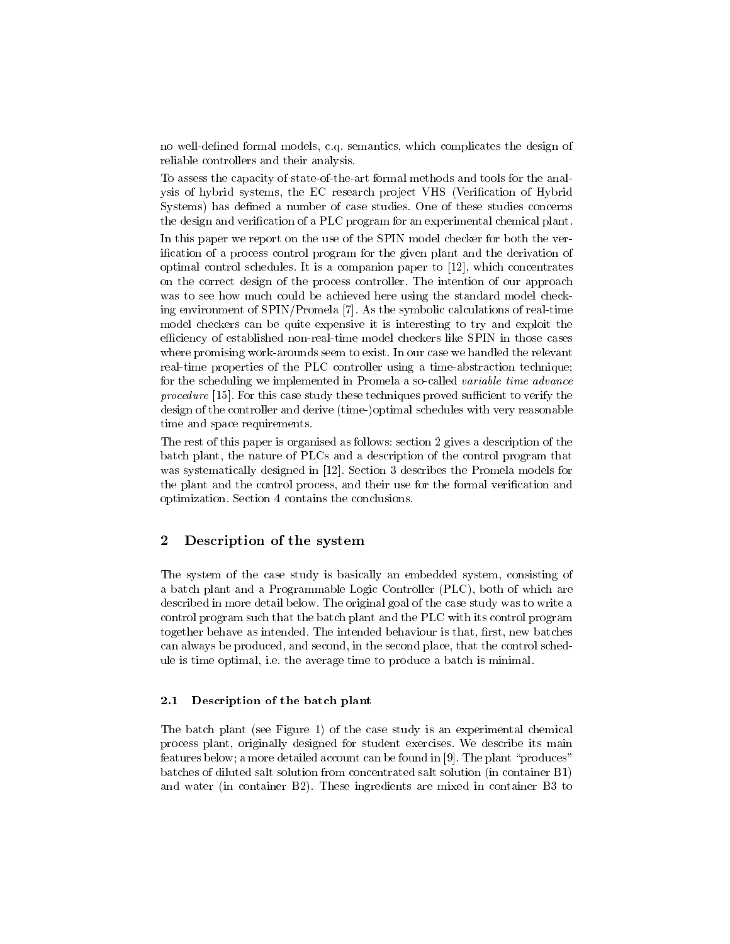no well-defined formal models, c.q. semantics, which complicates the design of reliable controllers and their analysis.

To assess the capacity of state-of-the-art formal methods and tools for the analysis of hybrid systems, the EC research project VHS (Verification of Hybrid Systems) has defined a number of case studies. One of these studies concerns the design and verification of a PLC program for an experimental chemical plant. In this paper we report on the use of the SPIN model checker for both the verication of a process control program for the given plant and the derivation of optimal control schedules. It is a companion paper to [12], which concentrates on the correct design of the process controller. The intention of our approach was to see how much could be achieved here using the standard model checking environment of SPIN/Promela [7]. As the symbolic calculations of real-time model checkers can be quite expensive it is interesting to try and exploit the efficiency of established non-real-time model checkers like SPIN in those cases where promising work-arounds seem to exist. In our case we handled the relevant real-time properties of the PLC controller using a time-abstraction technique; for the scheduling we implemented in Promela a so-called *variable time advance* procedure [15]. For this case study these techniques proved sucient to verify the design of the controller and derive (time-)optimal schedules with very reasonable time and space requirements.

The rest of this paper is organised as follows: section 2 gives a description of the batch plant, the nature of PLCs and a description of the control program that was systematically designed in [12]. Section 3 describes the Promela models for the plant and the control process, and their use for the formal verication and optimization. Section 4 contains the conclusions.

#### $\overline{2}$ Description of the system

The system of the case study is basically an embedded system, consisting of a batch plant and a Programmable Logic Controller (PLC), both of which are described in more detail below. The original goal of the case study was to write a control program such that the batch plant and the PLC with its control program together behave as intended. The intended behaviour is that, first, new batches can always be produced, and second, in the second place, that the control schedule is time optimal, i.e. the average time to produce a batch is minimal.

### 2.1 Description of the batch plant

The batch plant (see Figure 1) of the case study is an experimental chemical process plant, originally designed for student exercises. We describe its main features below; a more detailed account can be found in [9]. The plant \produces" batches of diluted salt solution from concentrated salt solution (in container B1) and water (in container B2). These ingredients are mixed in container B3 to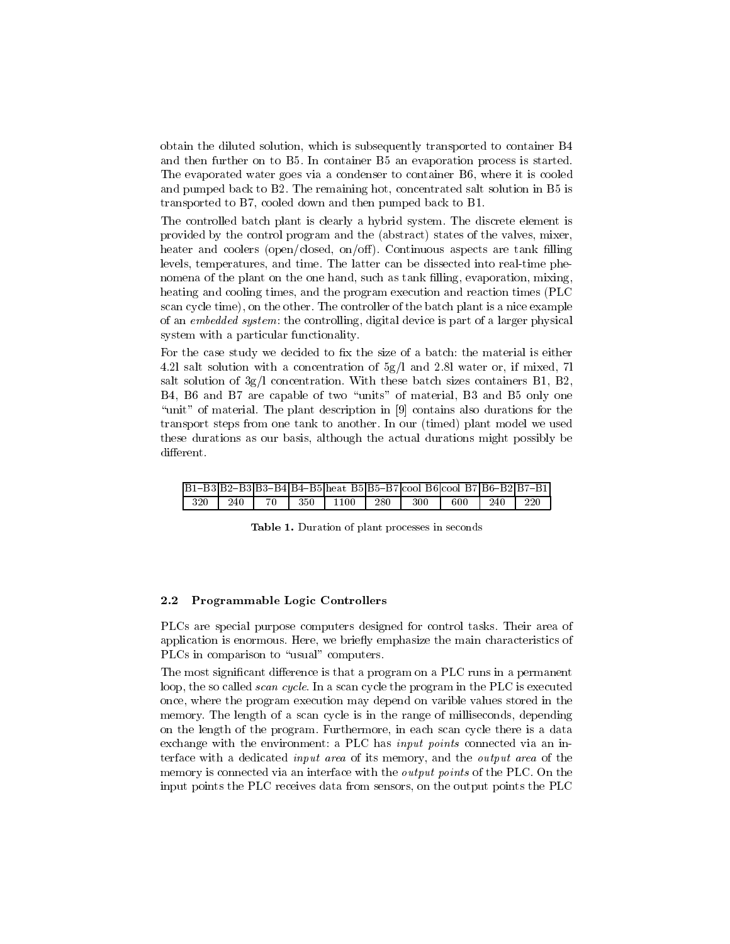obtain the diluted solution, which is subsequently transported to container B4 and then further on to B5. In container B5 an evaporation process is started. The evaporated water goes via a condenser to container B6, where it is cooled and pumped back to B2. The remaining hot, concentrated salt solution in B5 is transported to B7, cooled down and then pumped back to B1.

The controlled batch plant is clearly a hybrid system. The discrete element is provided by the control program and the (abstract) states of the valves, mixer, heater and coolers (open/closed, on/off). Continuous aspects are tank filling levels, temperatures, and time. The latter can be dissected into real-time phenomena of the plant on the one hand, such as tank filling, evaporation, mixing, heating and cooling times, and the program execution and reaction times (PLC scan cycle time), on the other. The controller of the batch plant is a nice example of an embedded system: the controlling, digital device is part of a larger physical system with a particular functionality.

For the case study we decided to fix the size of a batch: the material is either 4.2l salt solution with a concentration of 5g/l and 2.8lwater or, if mixed, 7l salt solution of 3g/l concentration. With these batch sizes containers B1, B2, B4, B6 and B7 are capable of two "units" of material, B3 and B5 only one "unit" of material. The plant description in  $[9]$  contains also durations for the transport steps from one tank to another. In our (timed) plant model we used these durations as our basis, although the actual durations might possibly be different.

|  |  | B1-B3 B2-B3 B3-B4 B4-B5 heat B5 B5-B7 cool B6 cool B7 B6-B2 B7-B1 |  |  |  |
|--|--|-------------------------------------------------------------------|--|--|--|
|  |  | 320   240   70   350   1100   280   300   600   240   220         |  |  |  |

Table 1. Duration of plant processes in seconds

# 2.2 Programmable Logic Controllers

PLCs are special purpose computers designed for control tasks. Their area of application is enormous. Here, we briefly emphasize the main characteristics of PLCs in comparison to "usual" computers.

The most significant difference is that a program on a PLC runs in a permanent loop, the so called *scan cycle*. In a scan cycle the program in the PLC is executed once, where the program execution may depend on varible values stored in the memory. The length of a scan cycle is in the range of milliseconds, depending on the length of the program. Furthermore, in each scan cycle there is a data exchange with the environment: a PLC has *input points* connected via an interface with a dedicated input area of its memory, and the output area of the memory is connected via an interface with the *output points* of the PLC. On the input points the PLC receives data from sensors, on the output points the PLC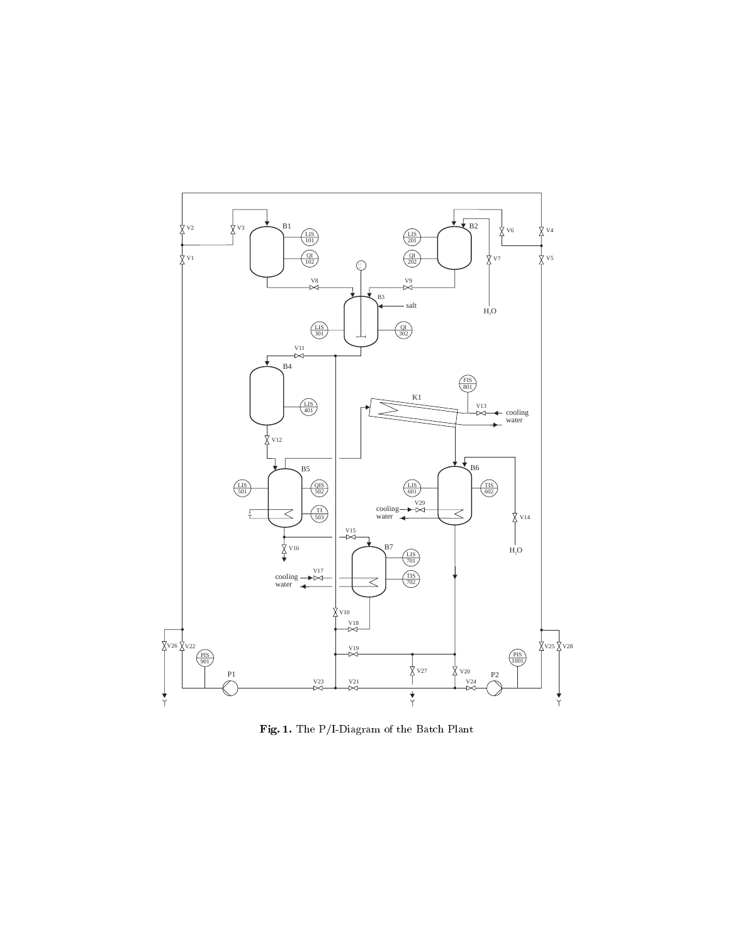

Fig. 1. The P/I-Diagram of the Batch Plant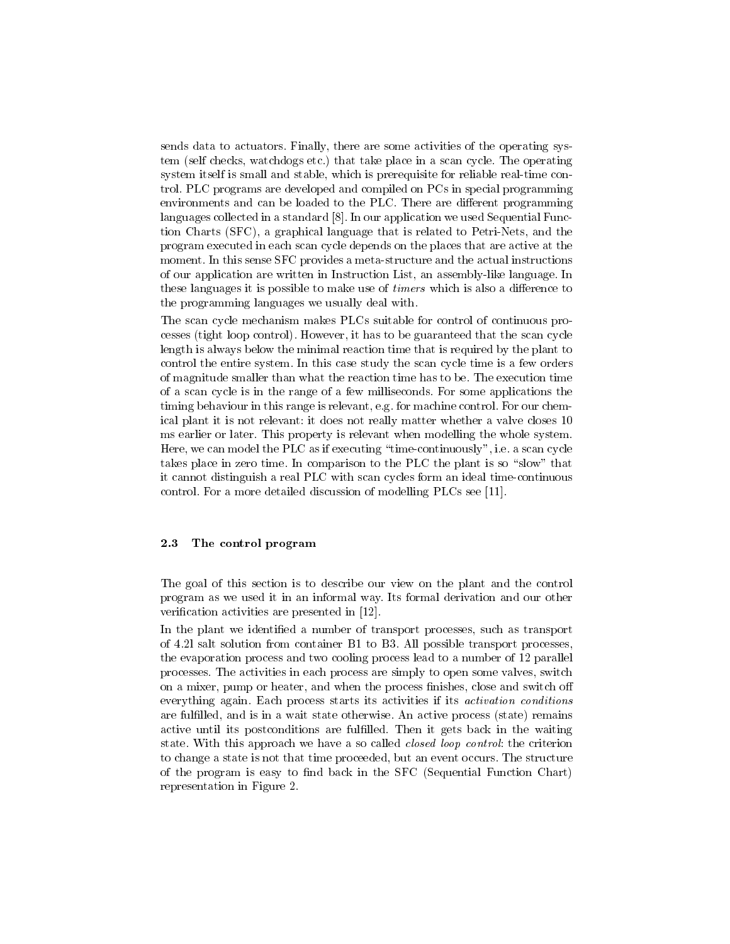sends data to actuators. Finally, there are some activities of the operating system (self checks, watchdogs etc.) that take place in a scan cycle. The operating system itself is small and stable, which is prerequisite for reliable real-time control. PLC programs are developed and compiled on PCs in special programming environments and can be loaded to the PLC. There are different programming languages collected in a standard [8]. In our application we used Sequential Function Charts (SFC), a graphical language that is related to Petri-Nets, and the program executed in each scan cycle depends on the places that are active at the moment. In this sense SFC provides a meta-structure and the actual instructions of our application are written in Instruction List, an assembly-like language. In these languages it is possible to make use of  $\,$  timers which is also a difference to the programming languages we usually deal with.

The scan cycle mechanism makes PLCs suitable for control of continuous processes (tight loop control). However, it has to be guaranteed that the scan cycle length is always below the minimal reaction time that is required by the plant to control the entire system. In this case study the scan cycle time is a few orders of magnitude smaller than what the reaction time has to be. The execution time of a scan cycle is in the range of a few milliseconds. For some applications the timing behaviour in this range is relevant, e.g. for machine control. For our chemical plant it is not relevant: it does not really matter whether a valve closes 10 ms earlier or later. This property is relevant when modelling the whole system. Here, we can model the PLC as if executing \time-continuously", i.e. a scan cycle takes place in zero time. In comparison to the PLC the plant is so "slow" that it cannot distinguish a real PLC with scan cycles form an ideal time-continuous control. For a more detailed discussion of modelling PLCs see [11].

## 2.3 The control program

The goal of this section is to describe our view on the plant and the control program as we used it in an informal way. Its formal derivation and our other verification activities are presented in [12].

In the plant we identied a number of transport processes, such as transport of 4.2l salt solution from container B1 to B3. All possible transport processes, the evaporation process and two cooling process lead to a number of 12 parallel processes. The activities in each process are simply to open some valves, switch on a mixer, pump or heater, and when the process finishes, close and switch off everything again. Each process starts its activities if its activation conditions are fullled, and is in a wait state otherwise. An active process (state) remains active until its postconditions are fulfilled. Then it gets back in the waiting state. With this approach we have a so called closed loop control: the criterion to change a state is not that time proceeded, but an event occurs. The structure of the program is easy to find back in the SFC (Sequential Function Chart) representation in Figure 2.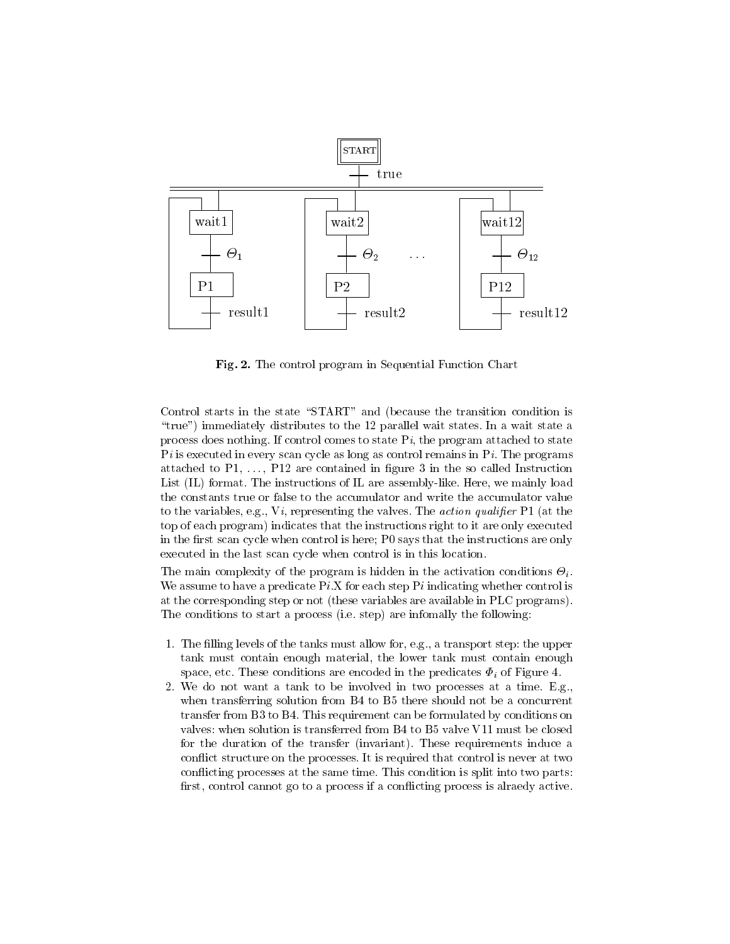

Fig. 2. The control program in Sequential Function Chart

Control starts in the state "START" and (because the transition condition is "true") immediately distributes to the 12 parallel wait states. In a wait state a process does nothing. If control comes to state  $Pi_i$ , the program attached to state  $P_i$  is executed in every scan cycle as long as control remains in Pi. The programs attached to  $P1, \ldots, P12$  are contained in figure 3 in the so called Instruction List (IL) format. The instructions of IL are assembly-like. Here, we mainly load the constants true or false to the accumulator and write the accumulator value to the variables, e.g.,  $Vi$ , representing the valves. The *action qualifier* P1 (at the top of each program) indicates that the instructions right to it are only executed in the first scan cycle when control is here; P0 says that the instructions are only executed in the last scan cycle when control is in this location.

The main complexity of the program is hidden in the activation  $\mathcal{L}_i$  . We assume to have a predicate  $Pi$ . X for each step  $Pi$  indicating whether control is at the corresponding step or not (these variables are available in PLC programs). The conditions to start a process (i.e. step) are infomally the following:

- 1. The filling levels of the tanks must allow for, e.g., a transport step: the upper tank must contain enough material, the lower tank must contain enough space, etc. These conditions are encoded in the predicates  $\Phi_i$  of Figure 4.
- 2. We do not want a tank to be involved in two processes at a time. E.g., when transferring solution from B4 to B5 there should not be a concurrent transfer from B3 to B4. This requirement can be formulated by conditions on valves: when solution is transferred from B4 to B5 valve V11 must be closed for the duration of the transfer (invariant). These requirements induce a conflict structure on the processes. It is required that control is never at two con
icting processes at the same time. This condition is split into two parts: first, control cannot go to a process if a conflicting process is alraedy active.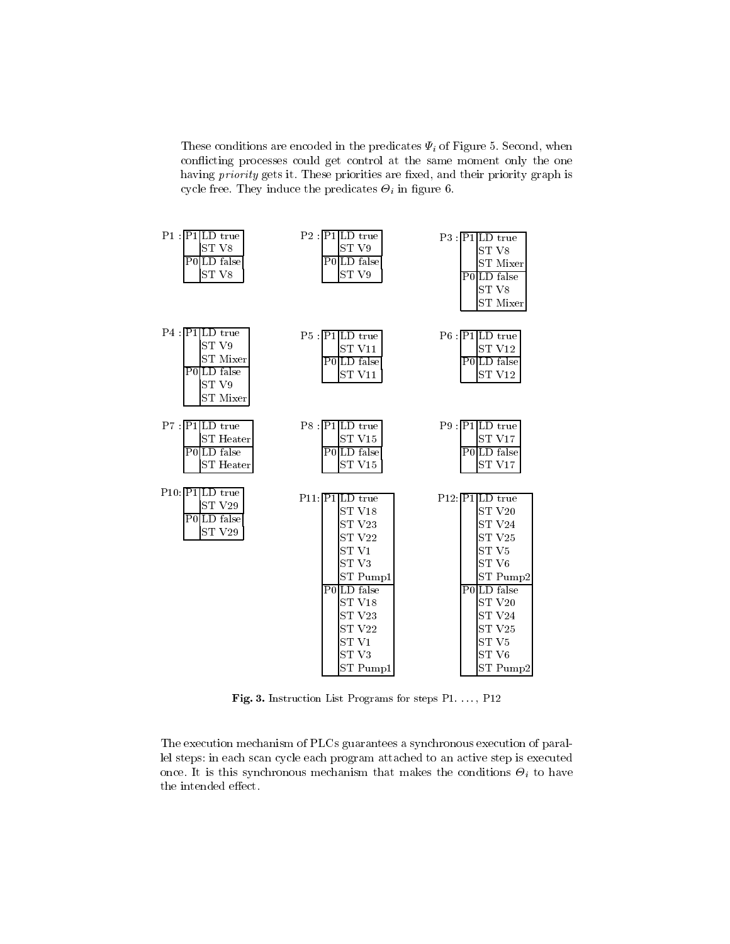These conditions are encoded in the predicates  $\Psi_i$  of Figure 5. Second, when con
icting processes could get control at the same moment only the one having *priority* gets it. These priorities are fixed, and their priority graph is cycle free. They induce the predicates of the species of the set

| $P1$ : $P1$ LD true<br>ST V8<br>P0LD false<br>ST V8                                | $P2$ : P1 LD true<br>ST V9<br>P0LD false<br>ST V9                                                                                                                    | $P3:$ P1 LD true<br>ST V8<br>ST Mixer<br>P0LD false<br>ST V8<br>ST Mixer                                                                                                                              |
|------------------------------------------------------------------------------------|----------------------------------------------------------------------------------------------------------------------------------------------------------------------|-------------------------------------------------------------------------------------------------------------------------------------------------------------------------------------------------------|
| $P4$ : P1[LD true<br>ST V9<br>ST Mixer<br>P0LD false<br>ST V9<br>${\cal ST}$ Mixer | P5 : P1 LD true<br><b>ST V11</b><br>P0 LD false<br>ST V11                                                                                                            | $P6$ : P1 LD true<br><b>ST V12</b><br>P0 LD false<br><b>ST V12</b>                                                                                                                                    |
| $P7:$ P1 $LD$ true<br>ST Heater<br>P0 LD false<br>ST Heater                        | $P8$ : $\boxed{P1 LD}$ true<br>${\rm ST}$ V15<br>P0LD false<br><b>ST V15</b>                                                                                         | $P9:$ P1 LD true<br>ST V17<br>P0LD false<br>ST V17                                                                                                                                                    |
| P10: P1 LD true<br>ST V29<br>P0LD false<br><b>ST V29</b>                           | P11: P1 LD true<br>ST V18<br>ST V23<br><b>ST V22</b><br>ST V1<br>ST V3<br>ST Pump1<br>P0 LD false<br>ST V18<br>ST V23<br><b>ST V22</b><br>ST V1<br>ST V3<br>ST Pump1 | P <sub>12</sub> : P <sub>1</sub>  LD true<br><b>ST V20</b><br>ST V24<br>${\rm ST}$ V25<br>ST V5<br>ST V6<br>ST Pump2<br>P0LD false<br><b>ST V20</b><br>ST V24<br>ST V25<br>ST V5<br>ST V6<br>ST Pump2 |

Fig. 3. Instruction List Programs for steps P1. ..., P12

The execution mechanism of PLCs guarantees a synchronous execution of parallel steps: in each scan cycle each program attached to an active step is executed once. It is the state symphone and mechanismic that makes the conditions -  $\mathcal{C}$  , we have a the intended effect.  $\;$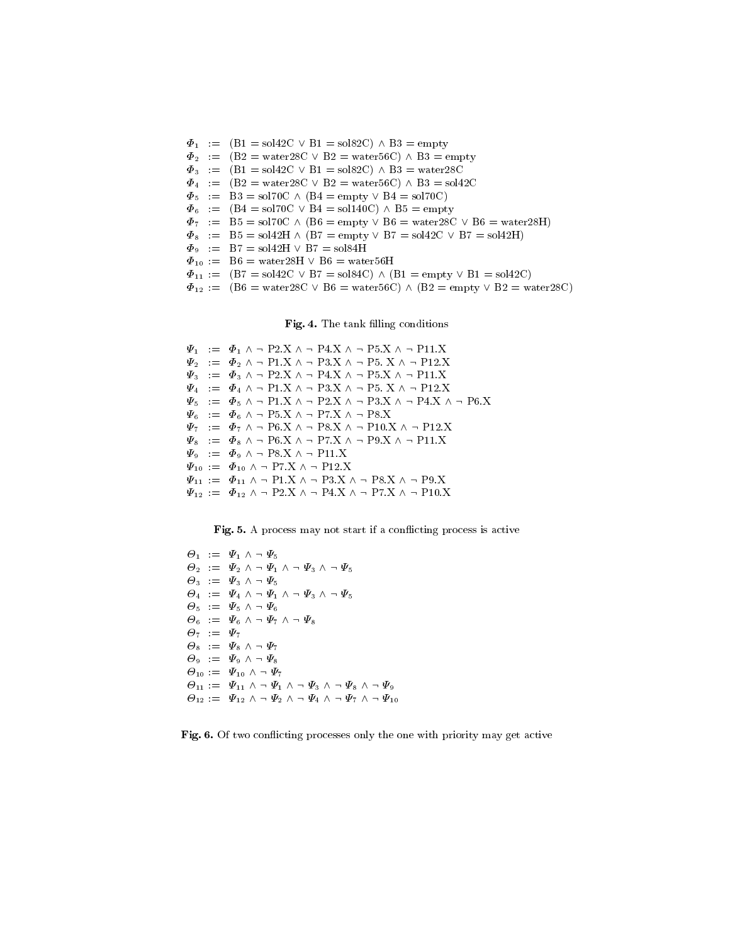$\Phi_1$  := (B1 = sol42C  $\vee$  B1 = sol82C)  $\wedge$  B3 = empty  $\Phi_2$  := (B2 = water28C  $\vee$  B2 = water56C)  $\wedge$  B3 = empty  $\Phi_3$  := (B1 = sol42C  $\vee$  B1 = sol82C)  $\wedge$  B3 = water28C  $\Phi_4$  := (B2 = water28C  $\vee$  B2 = water56C)  $\wedge$  B3 = sol42C  $\Phi_5$  := B3 = sol70C  $\wedge$  (B4 = empty  $\vee$  B4 = sol70C)  $\Phi_6$  := (B4 = sol70C  $\vee$  B4 = sol140C)  $\wedge$  B5 = empty  $\Phi_7$  := B5 = sol70C  $\wedge$  (B6 = empty  $\vee$  B6 = water28C  $\vee$  B6 = water28H)  $\Phi_8$  := B5 = sol42H  $\wedge$  (B7 = empty  $\vee$  B7 = sol42C  $\vee$  B7 = sol42H)  $\Phi_9$  := B7 = sol42H  $\vee$  B7 = sol84H  $\Phi_{10}$  := B6 = water28H  $\vee$  B6 = water56H  $\Phi_{11} := (B7 = \text{sol}42C \lor B7 = \text{sol}84C) \land (B1 = \text{empty} \lor B1 = \text{sol}42C)$  $\Phi_{12} := (B6 = \text{water28C} \vee B6 = \text{water56C}) \wedge (B2 = \text{empty} \vee B2 = \text{water28C})$ 

Fig. 4. The tank filling conditions

 $\Psi_1 \coloneqq \Phi_1 \wedge \neg P2.X \wedge \neg P4.X \wedge \neg P5.X \wedge \neg P11.X$  $\Psi_2 \coloneqq \Phi_2 \wedge \neg P1.X \wedge \neg P3.X \wedge \neg P5.X \wedge \neg P12.X$  $\Psi_3$  :  $\Phi_3 \wedge \neg P2.X \wedge \neg P4.X \wedge \neg P5.X \wedge \neg P11.X$  $\Psi_4$  :  $\Phi_4 \wedge \neg P1.X \wedge \neg P3.X \wedge \neg P5.X \wedge \neg P12.X$  $\Psi_5$  :  $\Phi_5 \wedge \neg P1.X \wedge \neg P2.X \wedge \neg P3.X \wedge \neg P4.X \wedge \neg P6.X$  $\Psi_6$  :  $\Phi_6 \wedge \neg P5.X \wedge \neg P7.X \wedge \neg P8.X$  $\Psi_7$  :  $\Phi_7 \wedge \neg P6$ .X  $\wedge \neg P8$ .X  $\wedge \neg P10$ .X  $\wedge \neg P12$ .X  $\Psi_8$  : =  $\Phi_8 \wedge \neg P6.X \wedge \neg P7.X \wedge \neg P9.X \wedge \neg P11.X$  $\Psi_9$  :  $\Phi_9 \wedge \neg$  P8.X  $\wedge \neg$  P11.X  $\Psi_{10} := \Phi_{10} \wedge \neg P7.X \wedge \neg P12.X$  $\Psi_{11} := \Phi_{11} \wedge \neg P1.X \wedge \neg P3.X \wedge \neg P8.X \wedge \neg P9.X$  $\Psi_{12} := \Phi_{12} \wedge \neg P2.X \wedge \neg P4.X \wedge \neg P7.X \wedge \neg P10.X$ 

Fig. 5. A process may not start if a conflicting process is active

 $\cup$  1  $\cup$  1  $\cup$  1  $\cup$  1  $\cup$  1  $\cup$  1  $\cup$  1  $\cup$  1  $\cup$  1  $\cup$  1  $\cup$  1  $\cup$  1  $\cup$  1  $\cup$  1  $\cup$  1  $\cup$  1  $\cup$  1  $\cup$  1  $\cup$  1  $\cup$  1  $\cup$  1  $\cup$  1  $\cup$  1  $\cup$  1  $\cup$  1  $\cup$  1  $\cup$  1  $\cup$  1  $\cup$  1  $\cup$  1  $\cup$  1  $\cup$ U2 := 2 / \ = 1 / \ = 2 / \ = 2 / \ = 2 ^ i = 1 / \ + 2 ^ i = 1 ^ \ + 1 ^ + 1 ^ i = 1 ^ \ + 1 ^ + 1 ^ \ + 1 ^ \ + 1 ^ \ + 1 ^ \ + 1 ^ \ + 1 ^ \ + 1 ^ \ + 1 ^ \ + 1 ^ \ + 1 ^ \ + 1 ^ \ + 1 ^ \ + 1 ^ \ + 1 ^ \ + 1 ^ \ + 1 ^  $\cup$  3  $\cup$  3  $\cup$  3  $\cup$  3  $\cup$  3  $\cup$  3  $\cup$  3  $\cup$  3  $\cup$  3  $\cup$  3  $\cup$  3  $\cup$  3  $\cup$  3  $\cup$  3  $\cup$  3  $\cup$  3  $\cup$  3  $\cup$  3  $\cup$  3  $\cup$  3  $\cup$  3  $\cup$  3  $\cup$  3  $\cup$  3  $\cup$  3  $\cup$  3  $\cup$  3  $\cup$  3  $\cup$  3  $\cup$  3  $\cup$  3  $\cup$ ○ 4 : 4 : 4 1 : 4 1 : 4 2 : 4 2 : 4 2 : 4 2 : 4 2 : 4 2 : 4 2 : 4 2 : 4 2 : 4 2 : 4 2 : 4 2 : 4 2 : 4 2 : 4 2 : 4 2 : 4 2 : 4 2 : 4 2 : 4 2 : 4 2 : 4 2 : 4 2 : 4 2 : 4 2 : 4 2 : 4 2 : 4 2 : 4 2 : 4 2 : 4 2 : 4 2 : 4 2 : 4 -<sup>5</sup> := <sup>5</sup> ^ : <sup>6</sup> -<sup>6</sup> := <sup>6</sup> ^ : <sup>7</sup> ^ : <sup>8</sup>  $7 \cdot 7 = 7$ -<sup>8</sup> := <sup>8</sup> ^ : <sup>7</sup> -<sup>9</sup> := <sup>9</sup> ^ : <sup>8</sup>  $-10$   $-10$   $-1$  $\sim$  11  $\sim$   $\sim$  1  $\sim$   $\sim$  1  $\sim$  1  $\sim$  1  $\sim$  1  $\sim$  1  $\sim$  9 -<sup>12</sup> := <sup>12</sup> ^ : <sup>2</sup> ^ : <sup>4</sup> ^ : <sup>7</sup> ^ : <sup>10</sup>

Fig. 6. Of two conflicting processes only the one with priority may get active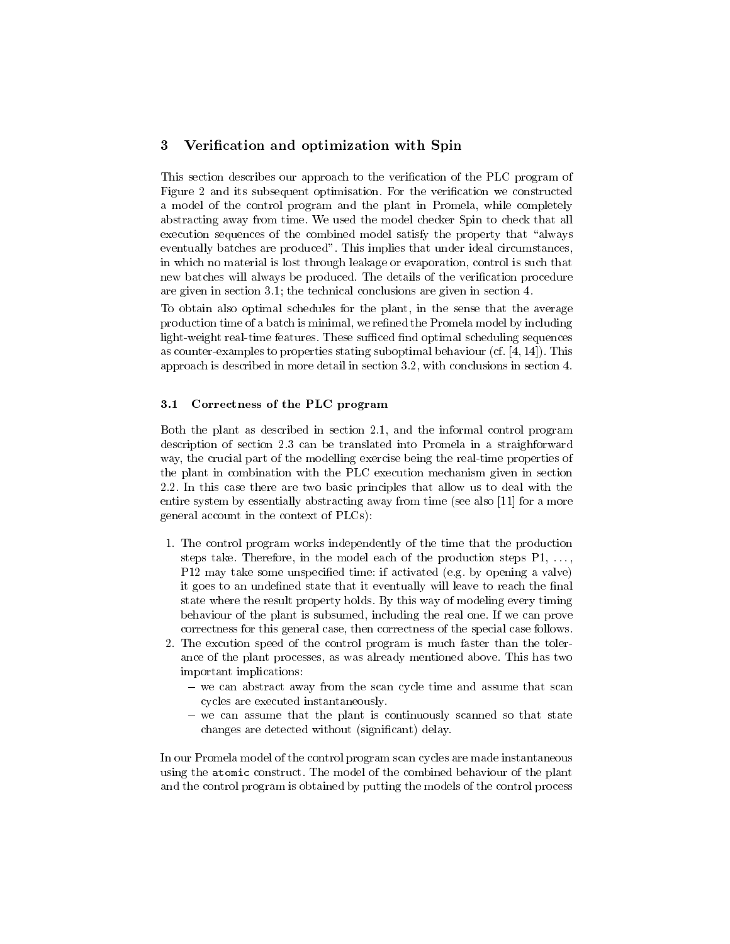# <sup>3</sup> Verication and optimization with Spin

This section describes our approach to the verification of the PLC program of Figure 2 and its subsequent optimisation. For the verification we constructed a model of the control program and the plant in Promela, while completely abstracting away from time. We used the model checker Spin to check that all execution sequences of the combined model satisfy the property that "always eventually batches are produced". This implies that under ideal circumstances, in which no material is lost through leakage or evaporation, control is such that new batches will always be produced. The details of the verication procedure are given in section 3.1; the technical conclusions are given in section 4.

To obtain also optimal schedules for the plant, in the sense that the average production time of a batch is minimal, we refined the Promela model by including light-weight real-time features. These sufficed find optimal scheduling sequences as counter-examples to properties stating suboptimal behaviour (cf. [4, 14]). This approach is described in more detail in section 3.2, with conclusions in section 4.

#### $3.1$ 3.1 Correctness of the PLC program

Both the plant as described in section 2.1, and the informal control program description of section 2.3 can be translated into Promela in a straighforward way, the crucial part of the modelling exercise being the real-time properties of the plant in combination with the PLC execution mechanism given in section 2.2. In this case there are two basic principles that allow us to deal with the entire system by essentially abstracting away from time (see also [11] for a more general account in the context of PLCs):

- 1. The control program works independently of the time that the production steps take. Therefore, in the model each of the production steps  $P1, \ldots$ , P12 may take some unspecified time: if activated (e.g. by opening a valve) it goes to an undefined state that it eventually will leave to reach the final state where the result property holds. By this way of modeling every timing behaviour of the plant is subsumed, including the real one. If we can prove correctness for this general case, then correctness of the special case follows.
- 2. The excution speed of the control program is much faster than the tolerance of the plant processes, as was already mentioned above. This has two important implications:
	- we can abstract away from the scan cycle time and assume that scan cycles are executed instantaneously.
	- $-$  we can assume that the plant is continuously scanned so that state changes are detected without (signicant) delay.

In our Promela model of the control program scan cycles are made instantaneous using the atomic construct. The model of the combined behaviour of the plant and the control program is obtained by putting the models of the control process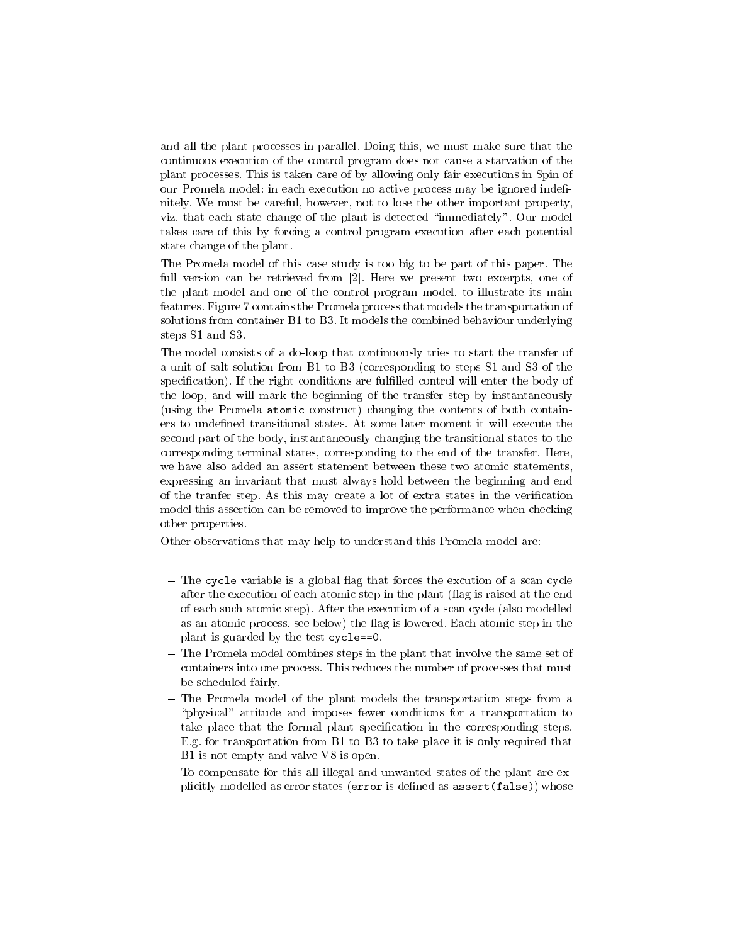and all the plant processes in parallel. Doing this, we must make sure that the continuous execution of the control program does not cause a starvation of the plant processes. This is taken care of by allowing only fair executions in Spin of our Promela model: in each execution no active process may be ignored indefinitely. We must be careful, however, not to lose the other important property, viz. that each state change of the plant is detected \immediately". Our model takes care of this by forcing a control program execution after each potential state change of the plant.

The Promela model of this case study is too big to be part of this paper. The full version can be retrieved from [2]. Here we present two excerpts, one of the plant model and one of the control program model, to illustrate its main features. Figure 7 contains the Promela process that models the transportation of solutions from container B1 to B3. It models the combined behaviour underlying steps S1 and S3.

The model consists of a do-loop that continuously tries to start the transfer of a unit of salt solution from B1 to B3 (corresponding to steps S1 and S3 of the specification). If the right conditions are fulfilled control will enter the body of the loop, and will mark the beginning of the transfer step by instantaneously (using the Promela atomic construct) changing the contents of both containers to undened transitional states. At some later moment it will execute the second part of the body, instantaneously changing the transitional states to the corresponding terminal states, corresponding to the end of the transfer. Here, we have also added an assert statement between these two atomic statements, expressing an invariant that must always hold between the beginning and end of the tranfer step. As this may create a lot of extra states in the verication model this assertion can be removed to improve the performance when checking other properties.

Other observations that may help to understand this Promela model are:

- $-$  The cycle variable is a global flag that forces the excution of a scan cycle after the execution of each atomic step in the plant (
ag is raised at the end of each such atomic step). After the execution of a scan cycle (also modelled as an atomic process, see below) the 
ag is lowered. Each atomic step in the plant is guarded by the test cycle==0.
- { The Promela model combines steps in the plant that involve the same set of containers into one process. This reduces the number of processes that must be scheduled fairly.
- The Promela model of the plant models the transportation steps from a "physical" attitude and imposes fewer conditions for a transportation to take place that the formal plant specification in the corresponding steps. E.g. for transportation from B1 to B3 to take place it is only required that B1 is not empty and valve V8 is open.
- { To compensate for this all illegal and unwanted states of the plant are explicitly modelled as error states (error is defined as assert (false)) whose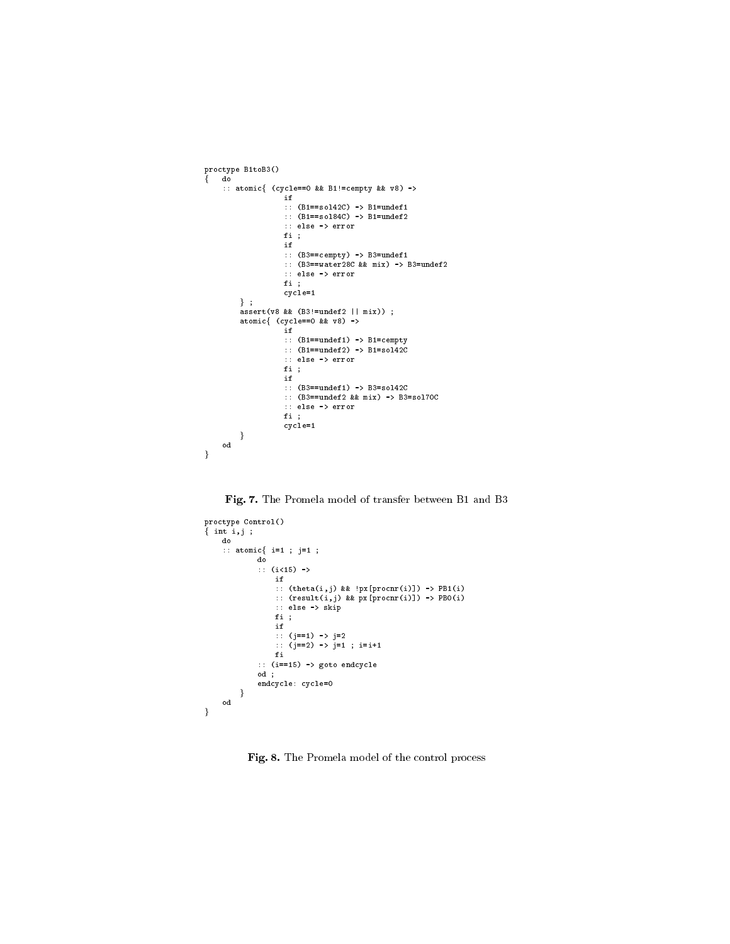```
proctype B1toB3()
f do
   :: atomicf (cycle==0 && B1!=cempty && v8) ->
                 if
                  :: (B1==sol42C) -> B1=undef1
                  :: (B1==sol84C) -> B1=undef2
                  :: else -> error
                 fi ;
                  \blacksquare: (B3) -3 \blacksquare:: (B3==water28C && mix) -> B3=undef2
                  :: else -> error
                 fi ;
                 cycle=1
       \};
       assert(v8 && (B3!=undef2 || mix)) ;
       atomic\begin{cases} (cycle=0 \& 0 \& 0 \end{cases} ->
                  :: (B1==undef1) -> B1=cempty
                  :: (B1==undef2) -> B1=sol42C
                  :: else -> error
                 fi ;
                  if
:: (B3==undef1) -> B3=sol42C
                  :: (B3==undef2 && mix) -> B3=sol70C
                 :: else -> error
                  cyc1e=1\}od \mathcal{E}
```
Fig. 7. The Promela model of transfer between B1 and B3

```
proctype Control()
\{\begin{array}{c} \text{int } i, j; \\ \text{do}\end{array}:: atomic{ i=1 ; j=1 ;
                       \cdot (iii) \cdot (iii) \cdot (iii) \cdot (iii) \cdot (iii) \cdot (iii) \cdot (iii) \cdot (iii) \cdot (iii) \cdot (iii) \cdot (iii) \cdot (iii) \cdot (iii) \cdot (iii) \cdot (iii) \cdot (iii) \cdot (iii) \cdot (iii) \cdot (iii) \cdot (iii) :: (theta(i,j) && !px[procnr(i)]) -> PB1(i)
                              :: (result(i, j) && px[prox(i)]) -> PBO(i):: else -> skip
                              fi ;
                               :: (j==1) -> j=2
                              :: (j == 2) \rightarrow j == 1; i == i + 1<br>fi
                       :: \sim 15) \sim goto end j=1od ;
                      endcycle: cycle=0
              \}od \mathcal{E}
```
Fig. 8. The Promela model of the control process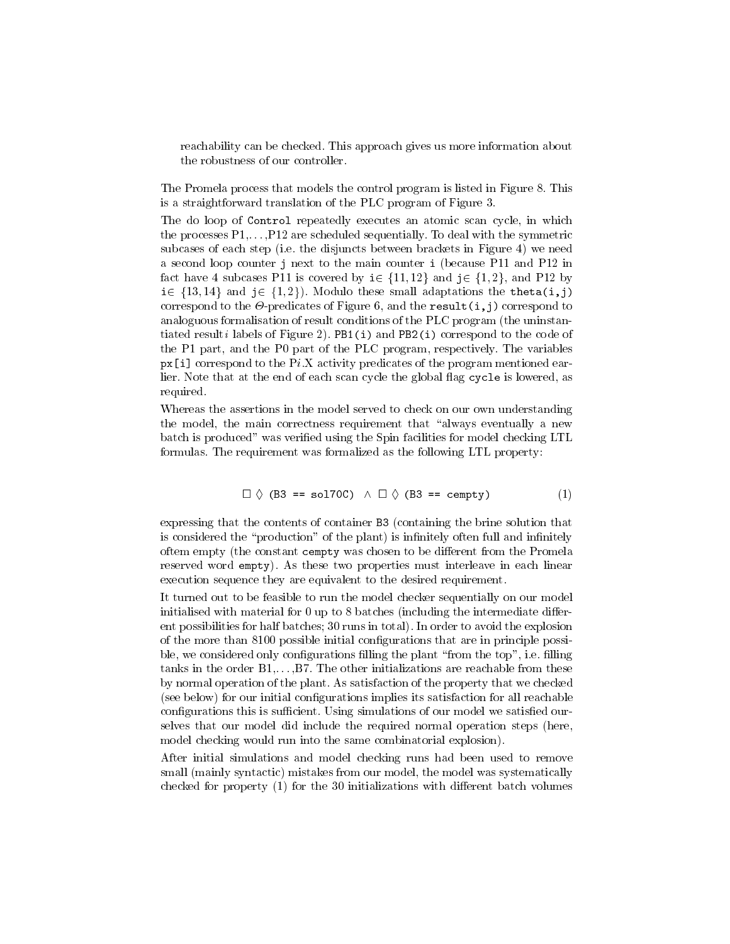reachability can be checked. This approach gives us more information about the robustness of our controller.

The Promela process that models the control program is listed in Figure 8. This is a straightforward translation of the PLC program of Figure 3.

The do loop of Control repeatedly executes an atomic scan cycle, in which the processes  $P1, \ldots, P12$  are scheduled sequentially. To deal with the symmetric subcases of each step (i.e. the disjuncts between brackets in Figure 4) we need a second loop counter j next to the main counter i (because P11 and P12 in fact have 4 subcases P11 is covered by  $i \in \{11, 12\}$  and  $j \in \{1, 2\}$ , and P12 by  $i \in \{13, 14\}$  and  $j \in \{1, 2\}$ . Modulo these small adaptations the theta(i,j) correspond to the --predicates of Figure 6, and the result(i,j) correspond to analoguous formalisation of result conditions of the PLC program (the uninstantiated resulti labels of Figure 2). PB1(i) and PB2(i) correspond to the code of the P1 part, and the P0 part of the PLC program, respectively. The variables  $p\mathbf{x}[i]$  correspond to the Pi.X activity predicates of the program mentioned earlier. Note that at the end of each scan cycle the global flag cycle is lowered, as required.

Whereas the assertions in the model served to check on our own understanding the model, the main correctness requirement that "always eventually a new batch is produced" was veried using the Spin facilities for model checking LTL formulas. The requirement was formalized as the following LTL property:

$$
\Box \Diamond (B3 == sol70C) \land \Box \Diamond (B3 == empty) \qquad (1)
$$

expressing that the contents of container B3 (containing the brine solution that is considered the "production" of the plant) is infinitely often full and infinitely oftem empty (the constant cempty was chosen to be different from the Promela reserved word empty). As these two properties must interleave in each linear execution sequence they are equivalent to the desired requirement.

It turned out to be feasible to run the model checker sequentially on our model initialised with material for  $0 \text{ up to } 8$  batches (including the intermediate different possibilities for half batches; 30 runs in total). In order to avoid the explosion of the more than 8100 possible initial congurations that are in principle possible, we considered only configurations filling the plant "from the top", i.e. filling tanks in the order  $B1, \ldots, B7$ . The other initializations are reachable from these by normal operation of the plant. As satisfaction of the property that we checked (see below) for our initial configurations implies its satisfaction for all reachable configurations this is sufficient. Using simulations of our model we satisfied ourselves that our model did include the required normal operation steps (here, model checking would run into the same combinatorial explosion).

After initial simulations and model checking runs had been used to remove small (mainly syntactic) mistakes from our model, the model was systematically checked for property  $(1)$  for the 30 initializations with different batch volumes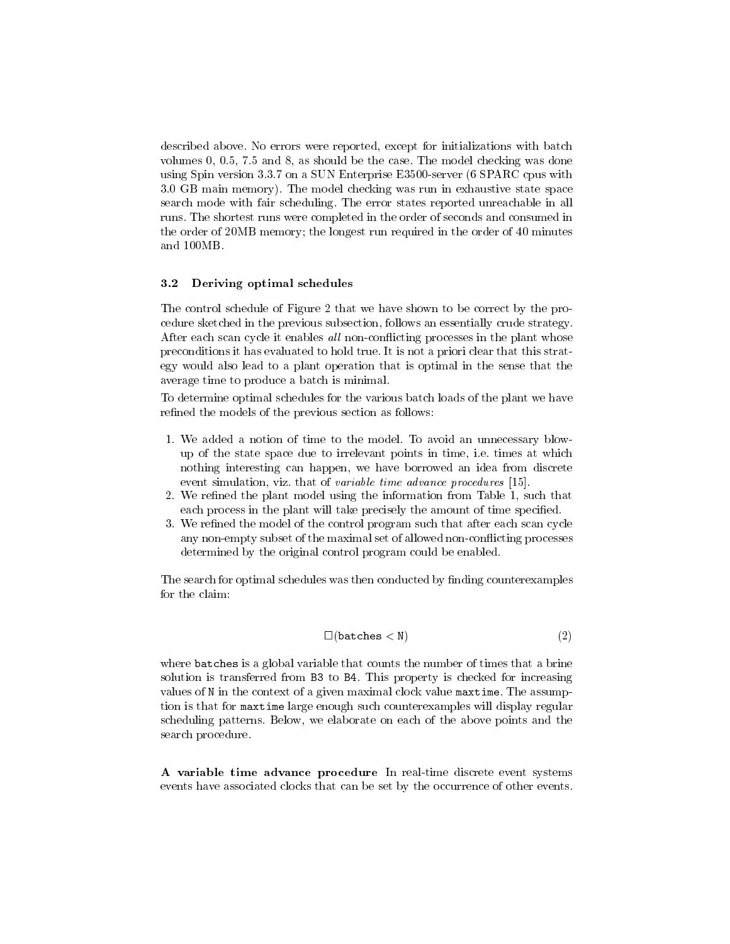described above. No errors were reported, except for initializations with batch volumes 0, 0.5, 7.5 and 8, as should be the case. The model checking was done using Spin version 3.3.7 on a SUN Enterprise E3500-server (6 SPARC cpus with 3.0 GB main memory). The model checking was run in exhaustive state space search mode with fair scheduling. The error states reported unreachable in all runs. The shortest runs were completed in the order of seconds and consumed in the order of 20MB memory; the longest run required in the order of 40 minutes and 100MB.

### 3.2 Deriving optimal schedules

The control schedule of Figure 2 that we have shown to be correct by the procedure sketched in the previous subsection, follows an essentially crude strategy. After each scan cycle it enables all non-conflicting processes in the plant whose preconditions it has evaluated to hold true. It is not a priori clear that this strategy would also lead to a plant operation that is optimal in the sense that the average time to produce a batch is minimal.

To determine optimal schedules for the various batch loads of the plant we have refined the models of the previous section as follows:

- 1. We added a notion of time to the model. To avoid an unnecessary blow up of the state space due to irrelevant points in time, i.e. times at which nothing interesting can happen, we have borrowed an idea from discrete event simulation, viz. that of *variable time advance procedures* [15].
- 2. We refined the plant model using the information from Table 1, such that each process in the plant will take precisely the amount of time specified.
- 3. We refined the model of the control program such that after each scan cycle any non-empty subset of the maximal set of allowed non-conflicting processes determined by the original control program could be enabled.

The search for optimal schedules was then conducted by finding counterexamples for the claim:

$$
\Box(\mathtt{batches} < \mathtt{N})\tag{2}
$$

where batches is a global variable that counts the number of times that a brine solution is transferred from B3 to B4. This property is checked for increasing values of N in the context of a given maximal clock value maxtime. The assumption is that for maxtime large enough such counterexamples will display regular scheduling patterns. Below, we elaborate on each of the above points and the search procedure.

A variable time advance procedure In real-time discrete event systems events have associated clocks that can be set by the occurrence of other events.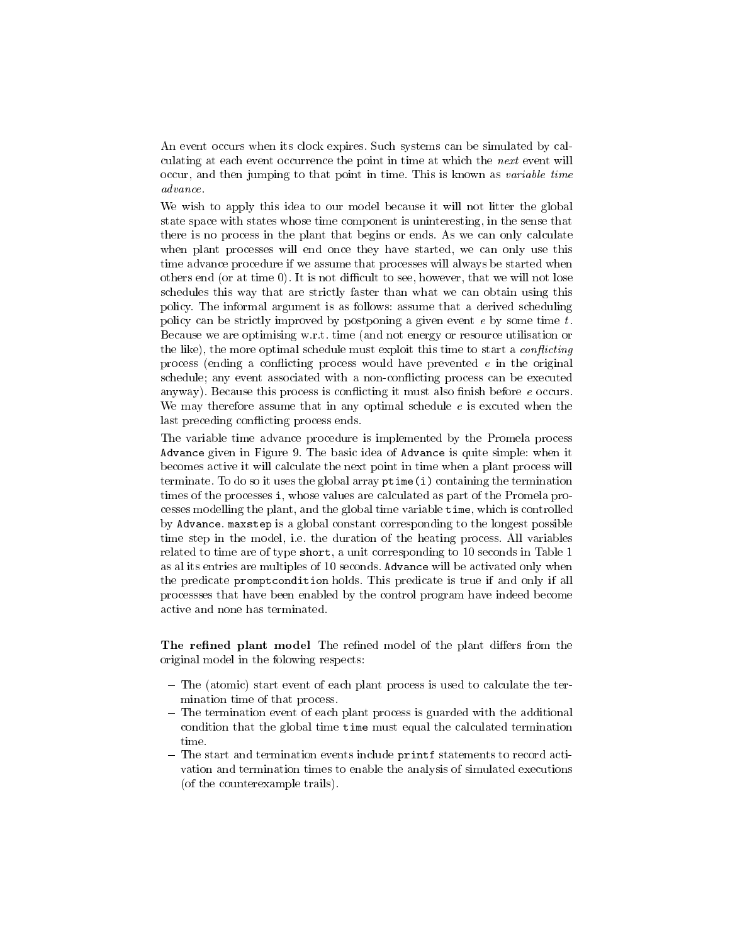An event occurs when its clock expires. Such systems can be simulated by calculating at each event occurrence the point in time at which the next event will occur, and then jumping to that point in time. This is known as variable time advance.

We wish to apply this idea to our model because it will not litter the global state space with states whose time component is uninteresting, in the sense that there is no process in the plant that begins or ends. As we can only calculate when plant processes will end once they have started, we can only use this time advance procedure if we assume that processes will always be started when others end (or at time  $0$ ). It is not difficult to see, however, that we will not lose schedules this way that are strictly faster than what we can obtain using this policy. The informal argument is as follows: assume that a derived scheduling policy can be strictly improved by postponing a given event <sup>e</sup> by some time t. Because we are optimising w.r.t. time (and not energy or resource utilisation or the like), the more optimal schedule must exploit this time to start a *conflicting* process (ending a conflicting process would have prevented  $e$  in the original schedule; any event associated with a non-con
icting process can be executed anyway). Because this process is conflicting it must also finish before  $e$  occurs. We may therefore assume that in any optimal schedule  $e$  is excuted when the last preceding conflicting process ends.

The variable time advance procedure is implemented by the Promela process Advance given in Figure 9. The basic idea of Advance is quite simple: when it becomes active it will calculate the next point in time when a plant process will terminate. To do so it uses the global array ptime(i) containing the termination times of the processes i, whose values are calculated as part of the Promela processes modelling the plant, and the global time variable time, which is controlled by Advance. maxstep is a global constant corresponding to the longest possible time step in the model, i.e. the duration of the heating process. All variables related to time are of type short, a unit corresponding to 10 seconds in Table 1 as al its entries are multiples of 10 seconds. Advance will be activated only when the predicate promptcondition holds. This predicate is true if and only if all processses that have been enabled by the control program have indeed become active and none has terminated.

The refined plant model The refined model of the plant differs from the original model in the folowing respects:

- ${\rm The \ (atomic) \ start \ event \ of \ each \ plant \ process \ is \ used \ to \ calculate \ the \ ter$ mination time of that process.
- The termination event of each plant process is guarded with the additional condition that the global time time must equal the calculated termination time.
- The start and termination events include printf statements to record activation and termination times to enable the analysis of simulated executions (of the counterexample trails).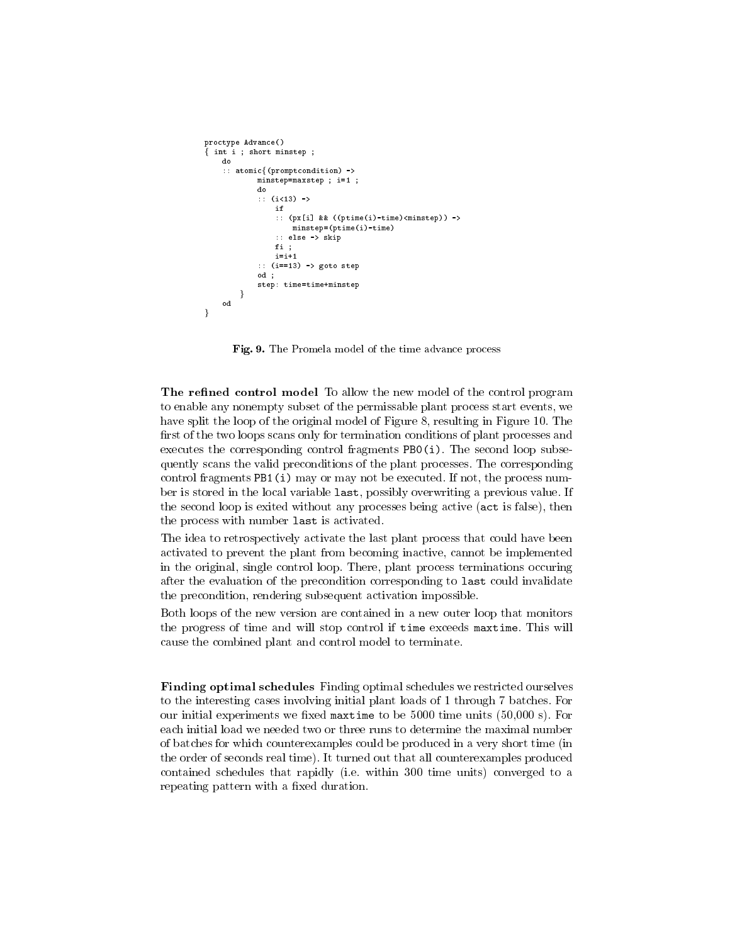```
proctype Advance()
f int i ; short minstep ;
   do
    :: atomicf(promptcondition) ->
           minstep=maxstep ; i=1 ;
           d<sub>o</sub>:: (i<13) ->
               if
                --<br>:: (px[i] && ((ptime(i)-time)<minstep)) ->
                   minstep=(ptime(i)-time)
               :: else -> skip
               f_1 :
                fi ;
               i=i+1\therefore (i==13) -> goto step
            :: (i==13) -> goto step
            od ;
           step: time=time+minstep
       \}\}
```
Fig. 9. The Promela model of the time advance process

The refined control model To allow the new model of the control program to enable any nonempty subset of the permissable plant process start events, we have split the loop of the original model of Figure 8, resulting in Figure 10. The first of the two loops scans only for termination conditions of plant processes and executes the corresponding control fragments PB0(i). The second loop subsequently scans the valid preconditions of the plant processes. The corresponding control fragments PB1(i) may or may not be executed. If not, the process number is stored in the local variable last, possibly overwriting a previous value. If the second loop is exited without any processes being active (act is false), then the process with number last is activated.

The idea to retrospectively activate the last plant process that could have been activated to prevent the plant from becoming inactive, cannot be implemented in the original, single control loop. There, plant process terminations occuring after the evaluation of the precondition corresponding to last could invalidate the precondition, rendering subsequent activation impossible.

Both loops of the new version are contained in a new outer loop that monitors the progress of time and will stop control if time exceeds maxtime. This will cause the combined plant and control model to terminate.

Finding optimal schedules Finding optimal schedules we restricted ourselves to the interesting cases involving initial plant loads of 1 through 7 batches. For our initial experiments we fixed maxtime to be  $5000$  time units  $(50,000 \text{ s})$ . For each initial load we needed two or three runs to determine the maximal number of batches for which counterexamples could be produced in a very short time (in the order of seconds real time). It turned out that all counterexamples produced contained schedules that rapidly (i.e. within 300 time units) converged to a repeating pattern with a fixed duration.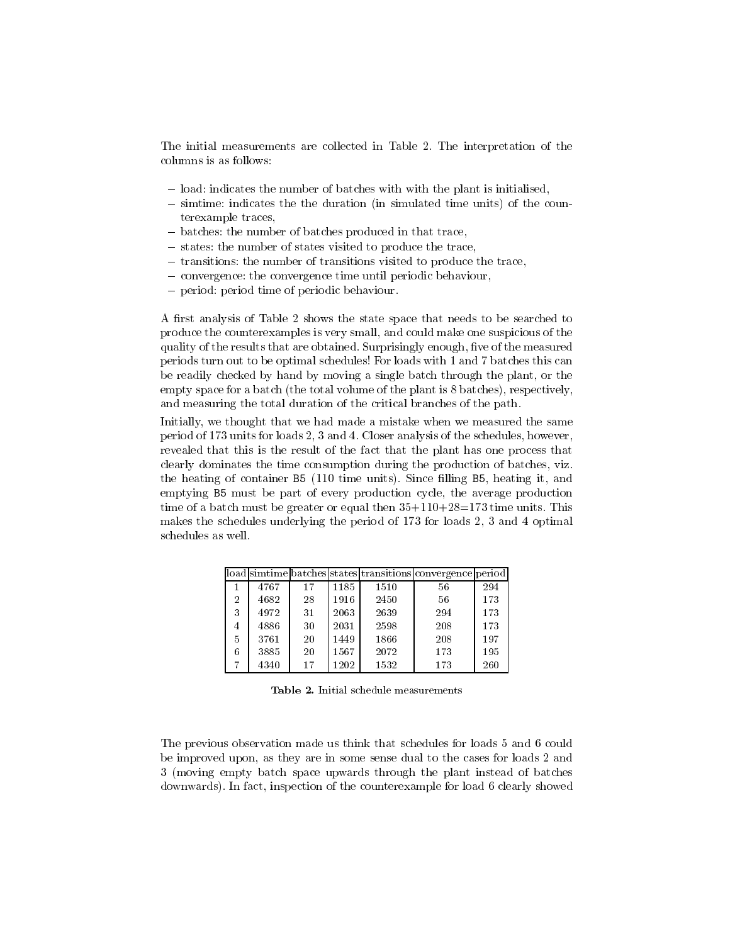The initial measurements are collected in Table 2.The interpretation of the columns is as follows:

- $=$  load: indicates the number of batches with with the plant is initialised,
- simtime: indicates the the duration (in simulated time units) of the counterexample traces,
- ${\bf -}$  batches: the number of batches produced in that trace,
- ${\rm -}$  states: the number of states visited to produce the trace,
- $=$  transitions: the number of transitions visited to produce the trace,
- convergence: the convergence time until periodic behaviour,
- { period: period time of periodic behaviour.

A first analysis of Table 2 shows the state space that needs to be searched to produce the counterexamples is very small, and could make one suspicious of the quality of the results that are obtained. Surprisingly enough, five of the measured periods turn out to be optimal schedules! For loads with 1 and 7 batches this can be readily checked by hand by moving a single batch through the plant, or the empty space for a batch (the total volume of the plant is 8 batches), respectively, and measuring the total duration of the critical branches of the path.

Initially, we thought that we had made a mistake when we measured the same period of 173 units for loads 2, 3 and 4. Closer analysis of the schedules, however, revealed that this is the result of the fact that the plant has one process that clearly dominates the time consumption during the production of batches, viz. the heating of container B5 (110 time units). Since filling B5, heating it, and emptying B5 must be part of every production cycle, the average production time of a batch must be greater or equal then  $35+110+28=173$  time units. This makes the schedules underlying the period of 173 for loads 2, 3 and 4 optimal schedules as well.

|                |      |    |      |      | load simtime batches states transitions convergence period |     |
|----------------|------|----|------|------|------------------------------------------------------------|-----|
|                | 4767 | 17 | 1185 | 1510 | 56                                                         | 294 |
| $\overline{2}$ | 4682 | 28 | 1916 | 2450 | 56                                                         | 173 |
| 3              | 4972 | 31 | 2063 | 2639 | 294                                                        | 173 |
| $\overline{4}$ | 4886 | 30 | 2031 | 2598 | 208                                                        | 173 |
| 5              | 3761 | 20 | 1449 | 1866 | 208                                                        | 197 |
| 6              | 3885 | 20 | 1567 | 2072 | 173                                                        | 195 |
|                | 4340 | 17 | 1202 | 1532 | 173                                                        | 260 |

The previous observation made us think that schedules for loads 5 and 6 could be improved upon, as they are in some sense dual to the cases for loads 2 and 3 (moving empty batch space upwards through the plant instead of batches downwards). In fact, inspection of the counterexample for load 6 clearly showed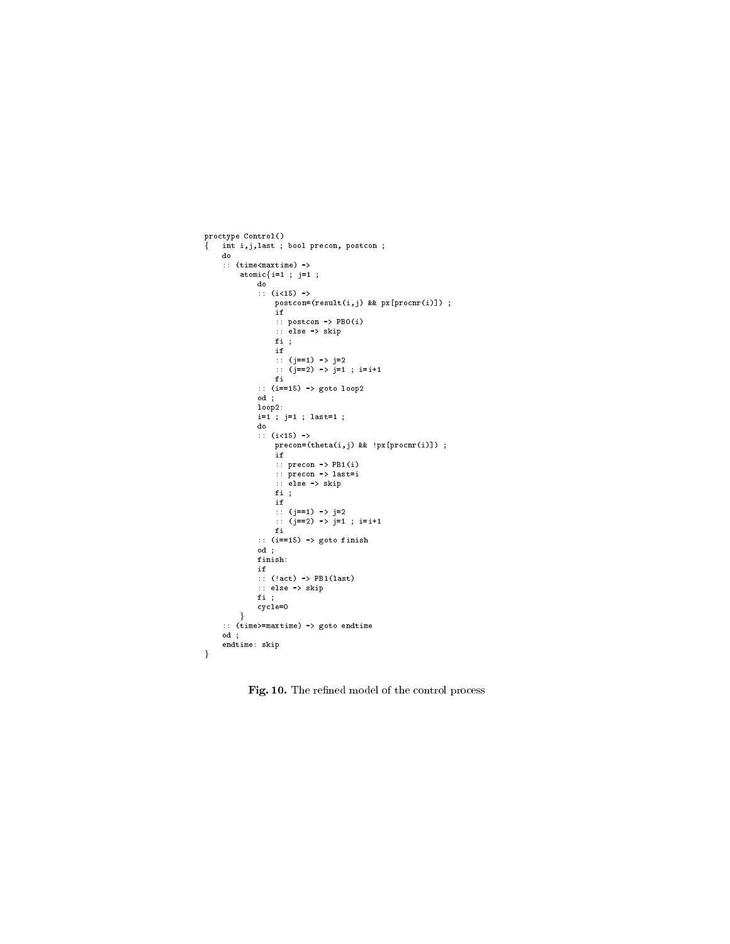```
proctype Control()
f int i,j,last ; bool precon, postcon ;
        \therefore (time<maxtime) ->
         \arctan\frac{1}{1}; j=1;
                        do<br>:: (i<15) ->
                          \cdot (iii) \cdot (iii) \cdot (iii) \cdot (iii) \cdot (iii) \cdot (iii) \cdot (iii) \cdot (iii) \cdot (iii) \cdot (iii) \cdot (iii) \cdot (iii) \cdot (iii) \cdot (iii) \cdot (iii) \cdot (iii) \cdot (iii) \cdot (iii) \cdot (iii) \cdot (iii) postcon=(result(i,j) && px[procnr(i)]) ;
if
                                  \therefore else -> skip
                                  fi ;
                                  --<br>:: (j==1) -> j=2
                                  :: (j==2) -> j=1 ; i=i+1
                          od ; \qquad \qquad \circ \qquad \qquad \qquad \qquad \qquad \qquad \qquad \qquad \qquad \qquad \qquad \qquad \qquad \qquad \qquad \qquad \qquad \qquad \qquad \qquad \qquad \qquad \qquad \qquad \qquad \qquad \qquad \qquad \qquad \qquad \qquad \qquad \qquad \qquad \qquad \qquad \qquad \qquad \qquad \qquad \qquad \qquad \qquad \qquad \qquad \qloop. The contract of the contract of the contract of the contract of the contract of the contract of the contract of the contract of the contract of the contract of the contract of the contract of the contract of the cont
                          i=1 ; j=1 ; last=1 ;
                        do<br>:: (i<15) ->
                          precon=(theta(i,j) && !px[procnr(i)]) ;
                                  --<br>:: precon -> PB1(i)
                                 :: precon -> last=i
                                  :: else -> skip
fi ;
                                  if
:: (j==1) -> j=2
:: (j==2) -> j=1 ; i=i+1
                                fi
                         :: (i==15) -> goto finish
                        od ;
                        finish:
                          --<br>:: (!act) -> PB1(last)
                         :: else -> skip
                        fi ;
                        cycle=0
         g
:: (time>=maxtime) -> goto endtime
        od ;
        endtime: skip
\}
```
 ${\bf Fig.\,10.}$  The refined model of the control process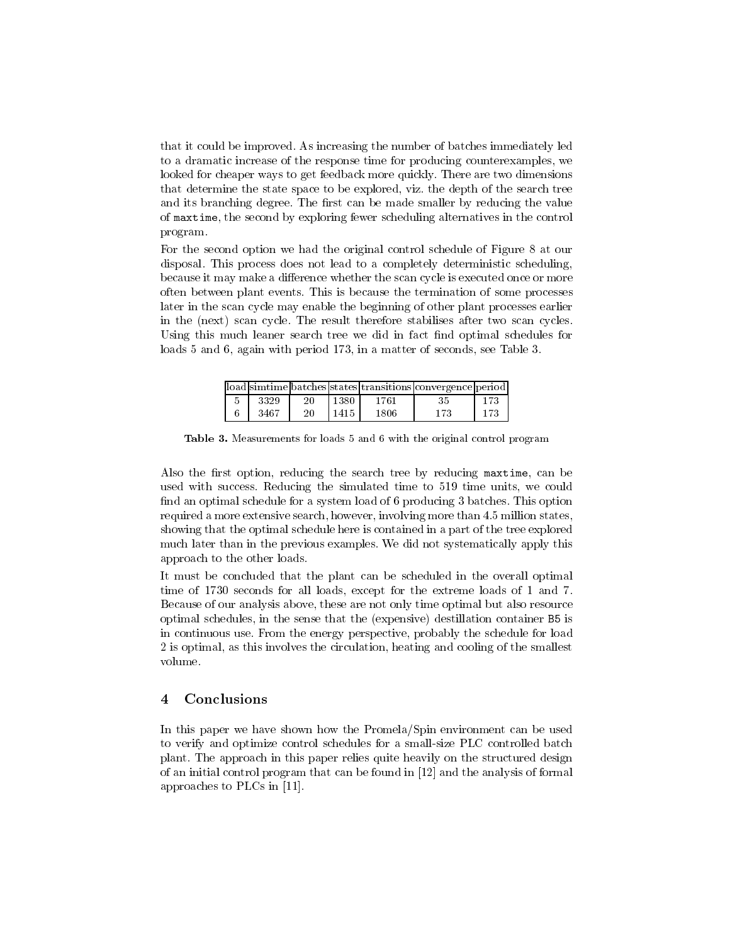that it could be improved. As increasing the number of batches immediately led to a dramatic increase of the response time for producing counterexamples, we looked for cheaper ways to get feedback more quickly. There are two dimensions that determine the state space to be explored, viz. the depth of the search tree and its branching degree. The first can be made smaller by reducing the value of maxtime, the second by exploring fewer scheduling alternatives in the control program.

For the second option we had the original control schedule of Figure 8 at our disposal. This process does not lead to a completely deterministic scheduling, because it may make a difference whether the scan cycle is executed once or more often between plant events. This is because the termination of some processes later in the scan cycle may enable the beginning of other plant processes earlier in the (next) scan cycle. The result therefore stabilises after two scan cycles. Using this much leaner search tree we did in fact find optimal schedules for loads 5 and 6, again with period 173, in a matter of seconds, see Table 3.

|  |      |    |      |      | load simtime batches states transitions convergence period |     |
|--|------|----|------|------|------------------------------------------------------------|-----|
|  | 3329 | 20 | 1380 | 1761 | 35                                                         | 173 |
|  | 3467 | 20 | 1415 | 1806 | $^{173}$                                                   | 173 |

Table 3. Measurements for loads 5 and 6 with the original control program

Also the first option, reducing the search tree by reducing maxtime, can be used with success. Reducing the simulated time to 519 time units, we could find an optimal schedule for a system load of  $6$  producing 3 batches. This option required a more extensive search, however, involving more than 4.5 million states, showing that the optimal schedule here is contained in a part of the tree explored much later than in the previous examples. We did not systematically apply this approach to the other loads.

It must be concluded that the plant can be scheduled in the overall optimal time of 1730 seconds for all loads, except for the extreme loads of 1 and 7. Because of our analysis above, these are not only time optimal but also resource optimal schedules, in the sense that the (expensive) destillation container B5 is in continuous use. From the energy perspective, probably the schedule for load 2 is optimal, as this involves the circulation, heating and cooling of the smallest volume.

# <sup>4</sup> Conclusions

In this paper we have shown how the Promela/Spin environment can be used to verify and optimize control schedules for a small-size PLC controlled batch plant. The approach in this paper relies quite heavily on the structured design of an initial control program that can be found in [12] and the analysis of formal approaches to PLCs in [11].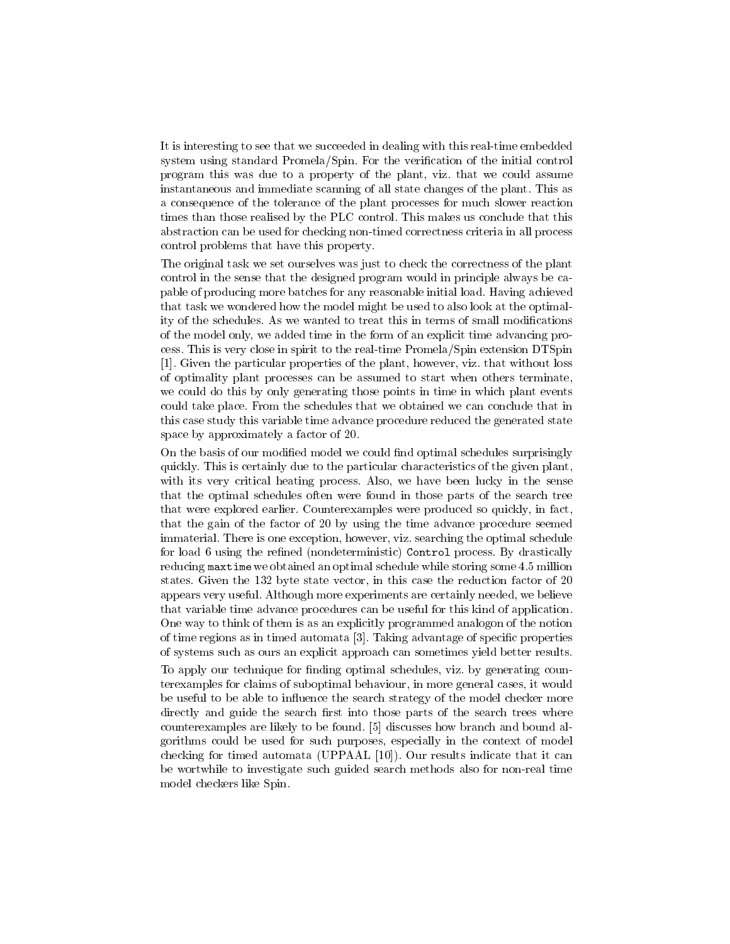It is interesting to see that we succeeded in dealing with this real-time embedded system using standard Promela/Spin. For the verification of the initial control program this was due to a property of the plant, viz. that we could assume instantaneous and immediate scanning of all state changes of the plant. This as a consequence of the tolerance of the plant processes for much slower reaction times than those realised by the PLC control. This makes us conclude that this abstraction can be used for checking non-timed correctness criteria in all process control problems that have this property.

The original task we set ourselves was just to check the correctness of the plant control in the sense that the designed program would in principle always be capable of producing more batches for any reasonable initial load. Having achieved that task we wondered how the model might be used to also look at the optimality of the schedules. As we wanted to treat this in terms of small modications of the model only, we added time in the form of an explicit time advancing process. This is very close in spirit to the real-time Promela/Spin extension DTSpin [1]. Given the particular properties of the plant, however, viz. that without loss of optimality plant processes can be assumed to start when others terminate, we could do this by only generating those points in time in which plant events could take place. From the schedules that we obtained we can conclude that in this case study this variable time advance procedure reduced the generated state space by approximately a factor of 20.

On the basis of our modified model we could find optimal schedules surprisingly quickly. This is certainly due to the particular characteristics of the given plant, with its very critical heating process. Also, we have been lucky in the sense that the optimal schedules often were found in those parts of the search tree that were explored earlier. Counterexamples were produced so quickly, in fact, that the gain of the factor of 20 by using the time advance procedure seemed immaterial. There is one exception, however, viz. searching the optimal schedule for load 6 using the refined (nondeterministic) Control process. By drastically reducing maxtime we obtained an optimal schedule while storing some 4.5 million states. Given the 132 byte state vector, in this case the reduction factor of 20 appears very useful. Although more experiments are certainly needed, we believe that variable time advance procedures can be useful for this kind of application. One way to think of them is as an explicitly programmed analogon of the notion of time regions as in timed automata  $[3]$ . Taking advantage of specific properties of systems such as ours an explicit approach can sometimes yield better results.

To apply our technique for finding optimal schedules, viz. by generating counterexamples for claims of suboptimal behaviour, in more general cases, it would be useful to be able to influence the search strategy of the model checker more directly and guide the search first into those parts of the search trees where counterexamples are likely to be found. [5] discusses how branch and bound algorithms could be used for such purposes, especially in the context of model checking for timed automata (UPPAAL [10]). Our results indicate that it can be wortwhile to investigate such guided search methods also for non-real time model checkers like Spin.